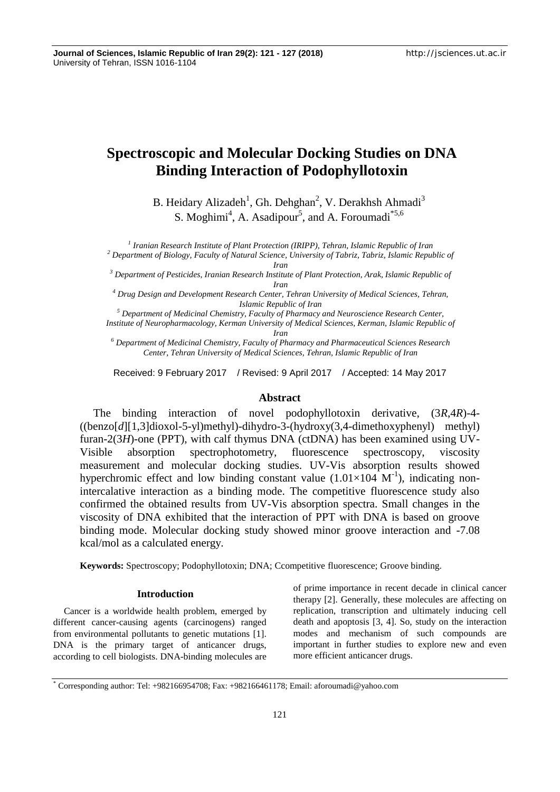# **Spectroscopic and Molecular Docking Studies on DNA Binding Interaction of Podophyllotoxin**

B. Heidary Alizadeh<sup>1</sup>, Gh. Dehghan<sup>2</sup>, V. Derakhsh Ahmadi<sup>3</sup> S. Moghimi<sup>4</sup>, A. Asadipour<sup>5</sup>, and A. Foroumadi<sup>\*5,6</sup>

*1 Iranian Research Institute of Plant Protection (IRIPP), Tehran, Islamic Republic of Iran <sup>2</sup> Department of Biology, Faculty of Natural Science, University of Tabriz, Tabriz, Islamic Republic of*

*Iran*

*<sup>3</sup> Department of Pesticides, Iranian Research Institute of Plant Protection, Arak, Islamic Republic of Iran*

*<sup>4</sup> Drug Design and Development Research Center, Tehran University of Medical Sciences, Tehran, Islamic Republic of Iran*

*<sup>5</sup> Department of Medicinal Chemistry, Faculty of Pharmacy and Neuroscience Research Center,*

*Institute of Neuropharmacology, Kerman University of Medical Sciences, Kerman, Islamic Republic of Iran*

*<sup>6</sup> Department of Medicinal Chemistry, Faculty of Pharmacy and Pharmaceutical Sciences Research Center, Tehran University of Medical Sciences, Tehran, Islamic Republic of Iran*

Received: 9 February 2017 / Revised: 9 April 2017 / Accepted: 14 May 2017

# **Abstract**

The binding interaction of novel podophyllotoxin derivative, (3*R*,4*R*)-4- ((benzo[*d*][1,3]dioxol-5-yl)methyl)-dihydro-3-(hydroxy(3,4-dimethoxyphenyl) methyl) furan-2(3*H*)-one (PPT), with calf thymus DNA (ctDNA) has been examined using UV-Visible absorption spectrophotometry, fluorescence spectroscopy, viscosity measurement and molecular docking studies. UV-Vis absorption results showed hyperchromic effect and low binding constant value  $(1.01\times104 \text{ M}^{-1})$ , indicating nonintercalative interaction as a binding mode. The competitive fluorescence study also confirmed the obtained results from UV-Vis absorption spectra. Small changes in the viscosity of DNA exhibited that the interaction of PPT with DNA is based on groove binding mode. Molecular docking study showed minor groove interaction and -7.08 kcal/mol as a calculated energy.

**Keywords:** Spectroscopy; Podophyllotoxin; DNA; Ccompetitive fluorescence; Groove binding.

# **Introduction**

Cancer is a worldwide health problem, emerged by different cancer-causing agents (carcinogens) ranged from environmental pollutants to genetic mutations [1]. DNA is the primary target of anticancer drugs, according to cell biologists. DNA-binding molecules are of prime importance in recent decade in clinical cancer therapy [2]. Generally, these molecules are affecting on replication, transcription and ultimately inducing cell death and apoptosis [3, 4]. So, study on the interaction modes and mechanism of such compounds are important in further studies to explore new and even more efficient anticancer drugs.

<sup>\*</sup> Corresponding author: Tel: +982166954708; Fax: +982166461178; Email: aforoumadi@yahoo.com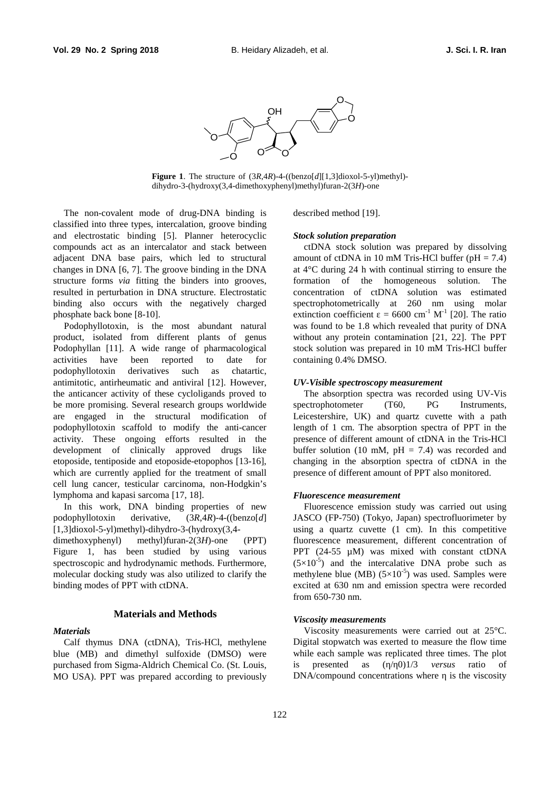

**Figure 1**. The structure of (3*R*,4*R*)-4-((benzo[*d*][1,3]dioxol-5-yl)methyl) dihydro-3-(hydroxy(3,4-dimethoxyphenyl)methyl)furan-2(3*H*)-one

The non-covalent mode of drug-DNA binding is classified into three types, intercalation, groove binding and electrostatic binding [5]. Planner heterocyclic compounds act as an intercalator and stack between adjacent DNA base pairs, which led to structural changes in DNA [6, 7]. The groove binding in the DNA structure forms *via* fitting the binders into grooves, resulted in perturbation in DNA structure. Electrostatic binding also occurs with the negatively charged phosphate back bone [8-10].

Podophyllotoxin, is the most abundant natural product, isolated from different plants of genus Podophyllan [11]. A wide range of pharmacological activities have been reported to date for podophyllotoxin derivatives such as chatartic, antimitotic, antirheumatic and antiviral [12]. However, the anticancer activity of these cycloligands proved to be more promising. Several research groups worldwide are engaged in the structural modification of podophyllotoxin scaffold to modify the anti-cancer activity. These ongoing efforts resulted in the development of clinically approved drugs like etoposide, tentiposide and etoposide-etopophos [13-16], which are currently applied for the treatment of small cell lung cancer, testicular carcinoma, non-Hodgkin's lymphoma and kapasi sarcoma [17, 18].

In this work, DNA binding properties of new podophyllotoxin derivative, (3*R*,4*R*)-4-((benzo[*d*] [1,3]dioxol-5-yl)methyl)-dihydro-3-(hydroxy(3,4-

dimethoxyphenyl) methyl)furan-2(3*H*)-one (PPT) Figure 1, has been studied by using various spectroscopic and hydrodynamic methods. Furthermore, molecular docking study was also utilized to clarify the binding modes of PPT with ctDNA.

# **Materials and Methods**

## *Materials*

Calf thymus DNA (ctDNA), Tris-HCl, methylene blue (MB) and dimethyl sulfoxide (DMSO) were purchased from Sigma-Aldrich Chemical Co. (St. Louis, MO USA). PPT was prepared according to previously described method [19].

#### *Stock solution preparation*

ctDNA stock solution was prepared by dissolving amount of ctDNA in 10 mM Tris-HCl buffer ( $pH = 7.4$ ) at 4°C during 24 h with continual stirring to ensure the formation of the homogeneous solution. The concentration of ctDNA solution was estimated spectrophotometrically at 260 nm using molar extinction coefficient =  $6600 \text{ cm}^{-1} \text{ M}^{-1}$  [20]. The ratio was found to be 1.8 which revealed that purity of DNA without any protein contamination [21, 22]. The PPT stock solution was prepared in 10 mM Tris-HCl buffer containing 0.4% DMSO.

# *UV-Visible spectroscopy measurement*

The absorption spectra was recorded using UV-Vis spectrophotometer (T60, PG Instruments, Leicestershire, UK) and quartz cuvette with a path length of 1 cm. The absorption spectra of PPT in the presence of different amount of ctDNA in the Tris-HCl buffer solution (10 mM,  $pH = 7.4$ ) was recorded and changing in the absorption spectra of ctDNA in the presence of different amount of PPT also monitored.

#### *Fluorescence measurement*

Fluorescence emission study was carried out using JASCO (FP-750) (Tokyo, Japan) spectrofluorimeter by using a quartz cuvette (1 cm). In this competitive fluorescence measurement, different concentration of PPT (24-55 µM) was mixed with constant ctDNA  $(5\times10^{-5})$  and the intercalative DNA probe such as methylene blue (MB)  $(5\times10^{-5})$  was used. Samples were excited at 630 nm and emission spectra were recorded from 650-730 nm.

#### *Viscosity measurements*

Viscosity measurements were carried out at 25°C. Digital stopwatch was exerted to measure the flow time while each sample was replicated three times. The plot is presented as  $(70)1/3$  *versus* ratio of DNA/compound concentrations where is the viscosity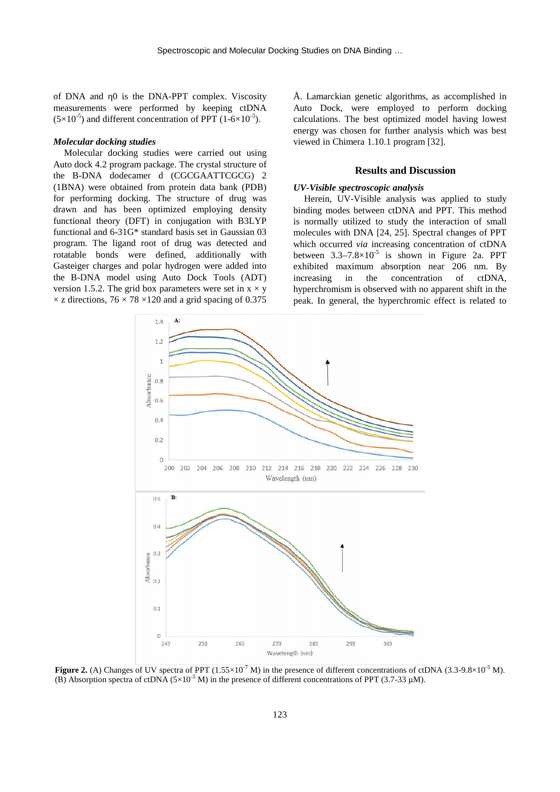of DNA and 0 is the DNA-PPT complex. Viscosity measurements were performed by keeping ctDNA  $(5\times10^{-5})$  and different concentration of PPT (1-6×10<sup>-5</sup>).

# *Molecular docking studies*

Molecular docking studies were carried out using Auto dock 4.2 program package. The crystal structure of the B-DNA dodecamer d (CGCGAATTCGCG) 2 (1BNA) were obtained from protein data bank (PDB) for performing docking. The structure of drug was drawn and has been optimized employing density functional theory (DFT) in conjugation with B3LYP functional and 6-31G\* standard basis set in Gaussian 03 program. The ligand root of drug was detected and rotatable bonds were defined, additionally with Gasteiger charges and polar hydrogen were added into the B-DNA model using Auto Dock Tools (ADT) version 1.5.2. The grid box parameters were set in  $x \times y$  $\times$  z directions, 76  $\times$  78  $\times$ 120 and a grid spacing of 0.375

Å. Lamarckian genetic algorithms, as accomplished in Auto Dock, were employed to perform docking calculations. The best optimized model having lowest energy was chosen for further analysis which was best viewed in Chimera 1.10.1 program [32].

# **Results and Discussion**

# *UV-Visible spectroscopic analysis*

Herein, UV-Visible analysis was applied to study binding modes between ctDNA and PPT. This method is normally utilized to study the interaction of small molecules with DNA [24, 25]. Spectral changes of PPT which occurred *via* increasing concentration of ctDNA between  $3.3-7.8\times10^{-5}$  is shown in Figure 2a. PPT exhibited maximum absorption near 206 nm. By increasing in the concentration of ctDNA, hyperchromism is observed with no apparent shift in the peak. In general, the hyperchromic effect is related to



**Figure 2.** (A) Changes of UV spectra of PPT  $(1.55 \times 10^{-7} \text{ M})$  in the presence of different concentrations of ctDNA  $(3.3-9.8 \times 10^{-5} \text{ M})$ . (B) Absorption spectra of ctDNA ( $5\times10^{-5}$  M) in the presence of different concentrations of PPT (3.7-33  $\mu$ M).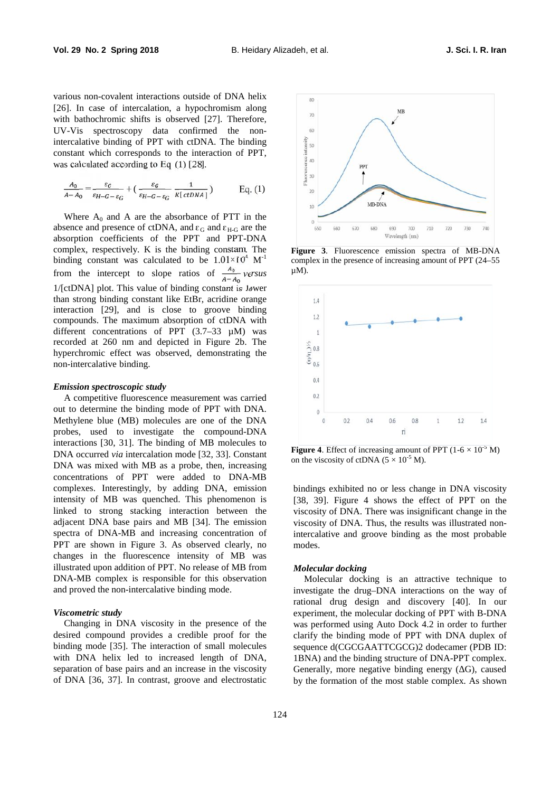various non-covalent interactions outside of DNA helix [26]. In case of intercalation, a hypochromism along with bathochromic shifts is observed [27]. Therefore, UV-Vis spectroscopy data confirmed the nonintercalative binding of PPT with ctDNA. The binding constant which corresponds to the interaction of PPT, was calculated according to Eq. (1) [28].

$$
\frac{A_0}{A-A_0} = \frac{\varepsilon_G}{\varepsilon_{H-G-\varepsilon_G}} + \left(\frac{\varepsilon_G}{\varepsilon_{H-G-\varepsilon_G}} \frac{1}{\kappa[\,ctDNA\,]}\right) \qquad \text{Eq. (1)}
$$

Where  $A_0$  and A are the absorbance of PTT in the absence and presence of ctDNA, and  $\varepsilon_G$  and  $\varepsilon_{H-G}$  are the absorption coefficients of the PPT and PPT-DNA complex, respectively. K is the binding constant. The binding constant was calculated to be  $1.01 \times 10^4$  M<sup>-1</sup> complex from the intercept to slope ratios of  $\frac{A_0}{A - A_0}$  versus 1/[ctDNA] plot. This value of binding constant is lower than strong binding constant like EtBr, acridine orange interaction [29], and is close to groove binding compounds. The maximum absorption of ctDNA with different concentrations of PPT  $(3.7-33 \mu M)$  was recorded at 260 nm and depicted in Figure 2b. The hyperchromic effect was observed, demonstrating the non-intercalative binding.

#### *Emission spectroscopic study*

A competitive fluorescence measurement was carried out to determine the binding mode of PPT with DNA. Methylene blue (MB) molecules are one of the DNA probes, used to investigate the compound-DNA interactions [30, 31]. The binding of MB molecules to DNA occurred *via* intercalation mode [32, 33]. Constant DNA was mixed with MB as a probe, then, increasing concentrations of PPT were added to DNA-MB complexes. Interestingly, by adding DNA, emission intensity of MB was quenched. This phenomenon is linked to strong stacking interaction between the adjacent DNA base pairs and MB [34]. The emission spectra of DNA-MB and increasing concentration of PPT are shown in Figure 3. As observed clearly, no changes in the fluorescence intensity of MB was illustrated upon addition of PPT. No release of MB from DNA-MB complex is responsible for this observation and proved the non-intercalative binding mode.

# *Viscometric study*

Changing in DNA viscosity in the presence of the desired compound provides a credible proof for the binding mode [35]. The interaction of small molecules with DNA helix led to increased length of DNA, separation of base pairs and an increase in the viscosity of DNA [36, 37]. In contrast, groove and electrostatic



**Figure 3**. Fluorescence emission spectra of MB-DNA complex in the presence of increasing amount of PPT (24–55 µM).



**Figure 4.** Effect of increasing amount of PPT  $(1-6 \times 10^{-5} \text{ M})$ on the viscosity of ctDNA  $(5 \times 10^{-5}$  M).

bindings exhibited no or less change in DNA viscosity [38, 39]. Figure 4 shows the effect of PPT on the viscosity of DNA. There was insignificant change in the viscosity of DNA. Thus, the results was illustrated nonintercalative and groove binding as the most probable modes.

#### *Molecular docking*

Molecular docking is an attractive technique to investigate the drug–DNA interactions on the way of rational drug design and discovery [40]. In our experiment, the molecular docking of PPT with B-DNA was performed using Auto Dock 4.2 in order to further clarify the binding mode of PPT with DNA duplex of sequence d(CGCGAATTCGCG)2 dodecamer (PDB ID: 1BNA) and the binding structure of DNA-PPT complex. Generally, more negative binding energy ( $G$ ), caused by the formation of the most stable complex. As shown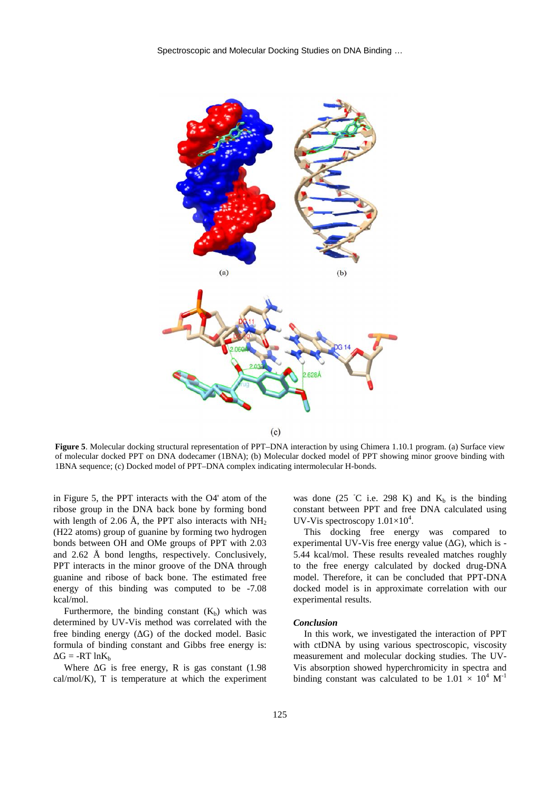

 $(c)$ 

**Figure 5.** Molecular docking structural representation of PPT–DNA interaction by using Chimera 1.10.1 program. (a) Surface view of molecular docked PPT on DNA dodecamer (1BNA); (b) Molecular docked model of PPT showing minor groove binding with 1BNA sequence; (c) Docked model of PPT–DNA complex indicating intermolecular H-bonds.

in Figure 5, the PPT interacts with the O4' atom of the ribose group in the DNA back bone by forming bond with length of 2.06 Å, the PPT also interacts with  $NH<sub>2</sub>$ (H22 atoms) group of guanine by forming two hydrogen bonds between OH and OMe groups of PPT with 2.03 and 2.62 Å bond lengths, respectively. Conclusively, PPT interacts in the minor groove of the DNA through guanine and ribose of back bone. The estimated free energy of this binding was computed to be -7.08 kcal/mol.

Furthermore, the binding constant  $(K_b)$  which was determined by UV-Vis method was correlated with the free binding energy (G) of the docked model. Basic formula of binding constant and Gibbs free energy is:  $G = -RT \ln K_b$ 

Where  $\,$  G is free energy, R is gas constant (1.98) cal/mol/K), T is temperature at which the experiment

was done (25 C i.e. 298 K) and  $K_b$  is the binding constant between PPT and free DNA calculated using UV-Vis spectroscopy  $1.01\times10^4$ .

This docking free energy was compared to experimental UV-Vis free energy value  $($  G), which is -5.44 kcal/mol. These results revealed matches roughly to the free energy calculated by docked drug-DNA model. Therefore, it can be concluded that PPT-DNA docked model is in approximate correlation with our experimental results.

### *Conclusion*

In this work, we investigated the interaction of PPT with ctDNA by using various spectroscopic, viscosity measurement and molecular docking studies. The UV- Vis absorption showed hyperchromicity in spectra and binding constant was calculated to be  $1.01 \times 10^4$  M<sup>-1</sup>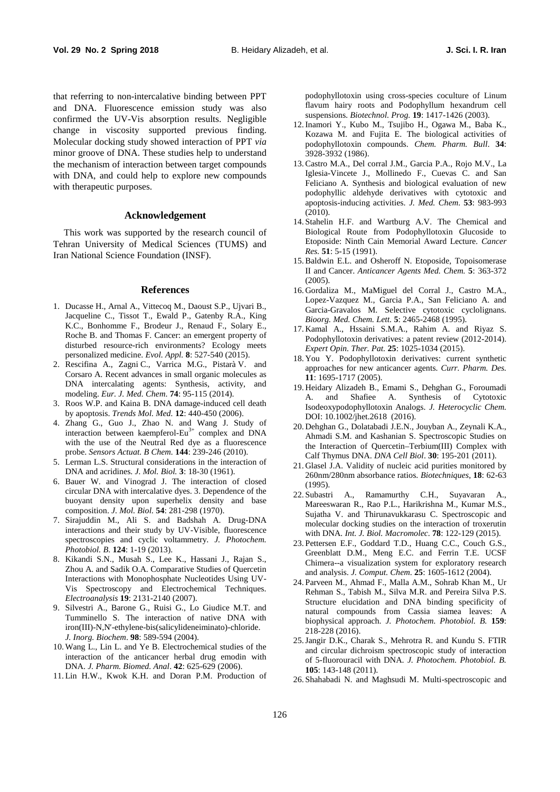that referring to non-intercalative binding between PPT and DNA. Fluorescence emission study was also confirmed the UV-Vis absorption results. Negligible change in viscosity supported previous finding. Molecular docking study showed interaction of PPT *via* minor groove of DNA. These studies help to understand the mechanism of interaction between target compounds with DNA, and could help to explore new compounds with therapeutic purposes.

#### **Acknowledgement**

This work was supported by the research council of Tehran University of Medical Sciences (TUMS) and Iran National Science Foundation (INSF).

#### **References**

- 1. Ducasse H., Arnal A., Vittecoq M., Daoust S.P., Ujvari B., Jacqueline C., Tissot T., Ewald P., Gatenby R.A., King K.C., Bonhomme F., Brodeur J., Renaud F., Solary E., Roche B. and Thomas F. Cancer: an emergent property of disturbed resource-rich environments? Ecology meets personalized medicine. *Evol. Appl.* **8**: 527-540 (2015).
- 2. Rescifina A., Zagni C., Varrica M.G., Pistarà V. and Corsaro A. Recent advances in small organic molecules as DNA intercalating agents: Synthesis, activity, and modeling. *Eur. J. Med. Chem*. **74**: 95-115 (2014).
- 3. Roos W.P. and Kaina B. DNA damage-induced cell death by apoptosis. *Trends Mol. Med.* **12**: 440-450 (2006).
- 4. Zhang G., Guo J., Zhao N. and Wang J. Study of interaction between kaempferol-Eu<sup>3+</sup> complex and DNA  $\overrightarrow{Q}$ with the use of the Neutral Red dye as a fluorescence probe. *Sensors Actuat. B Chem.* **144**: 239-246 (2010).
- 5. Lerman L.S. Structural considerations in the interaction of DNA and acridines. *J. Mol. Biol.* **3**: 18-30 (1961).
- 6. Bauer W. and Vinograd J. The interaction of closed circular DNA with intercalative dyes. 3. Dependence of the  $22.$  Subastri buoyant density upon superhelix density and base composition. *J. Mol. Biol.* **54**: 281-298 (1970).
- 7. Sirajuddin M., Ali S. and Badshah A. Drug-DNA interactions and their study by UV-Visible, fluorescence spectroscopies and cyclic voltammetry. *J. Photochem. Photobiol. B*. **124**: 1-19 (2013).
- 8. Kikandi S.N., Musah S., Lee K., Hassani J., Rajan S., Zhou A. and Sadik O.A. Comparative Studies of Quercetin Interactions with Monophosphate Nucleotides Using UV- Vis Spectroscopy and Electrochemical Techniques. *Electroanalysis* **19**: 2131-2140 (2007).
- 9. Silvestri A., Barone G., Ruisi G., Lo Giudice M.T. and Tumminello S. The interaction of native DNA with iron(III)-N,N -ethylene-bis(salicylideneiminato)-chloride. *J. Inorg. Biochem*. **98**: 589-594 (2004).
- 10.Wang L., Lin L. and Ye B. Electrochemical studies of the interaction of the anticancer herbal drug emodin with DNA. *J. Pharm. Biomed. Anal*. **42**: 625-629 (2006).
- 11.Lin H.W., Kwok K.H. and Doran P.M. Production of

podophyllotoxin using cross-species coculture of Linum flavum hairy roots and Podophyllum hexandrum cell suspensions. *Biotechnol. Prog.* **19**: 1417-1426 (2003).

- 12.Inamori Y., Kubo M., Tsujibo H., Ogawa M., Baba K., Kozawa M. and Fujita E. The biological activities of podophyllotoxin compounds. *Chem. Pharm. Bull*. **34**: 3928-3932 (1986).
- 13.Castro M.A., Del corral J.M., Garcia P.A., Rojo M.V., La Iglesia-Vincete J., Mollinedo F., Cuevas C. and San Feliciano A. Synthesis and biological evaluation of new podophyllic aldehyde derivatives with cytotoxic and apoptosis-inducing activities. *J. Med. Chem*. **53**: 983-993 (2010).
- 14. Stahelin H.F. and Wartburg A.V. The Chemical and Biological Route from Podophyllotoxin Glucoside to Etoposide: Ninth Cain Memorial Award Lecture. *Cancer Res.* **51**: 5-15 (1991).
- 15.Baldwin E.L. and Osheroff N. Etoposide, Topoisomerase II and Cancer. *Anticancer Agents Med. Chem.* **5**: 363-372 (2005).
- 16. Gordaliza M., MaMiguel del Corral J., Castro M.A., Lopez-Vazquez M., Garcia P.A., San Feliciano A. and Garcia-Gravalos M. Selective cytotoxic cyclolignans. *Bioorg. Med. Chem. Lett.* **5**: 2465-2468 (1995).
- 17. Kamal A., Hssaini S.M.A., Rahim A. and Riyaz S. Podophyllotoxin derivatives: a patent review (2012-2014). *Expert Opin. Ther. Pat.* **25**: 1025-1034 (2015).
- 18. You Y. Podophyllotoxin derivatives: current synthetic approaches for new anticancer agents. *Curr. Pharm. Des.* **11**: 1695-1717 (2005).
- 19. Heidary Alizadeh B., Emami S., Dehghan G., Foroumadi A. and Shafiee A. Synthesis of Cytotoxic Isodeoxypodophyllotoxin Analogs. *J. Heterocyclic Chem.* DOI: 10.1002/jhet.2618 (2016).
- 20. Dehghan G., Dolatabadi J.E.N., Jouyban A., Zeynali K.A., Ahmadi S.M. and Kashanian S. Spectroscopic Studies on the Interaction of Quercetin–Terbium(III) Complex with Calf Thymus DNA. *DNA Cell Biol*. **30**: 195-201 (2011).
- 21. Glasel J.A. Validity of nucleic acid purities monitored by 260nm/280nm absorbance ratios. *Biotechniques*, **18**: 62-63 (1995).
- A., Ramamurthy C.H., Suyavaran A., Mareeswaran R., Rao P.L., Harikrishna M., Kumar M.S., Sujatha V. and Thirunavukkarasu C. Spectroscopic and molecular docking studies on the interaction of troxerutin with DNA. *Int. J. Biol. Macromolec*. **78**: 122-129 (2015).
- 23. Pettersen E.F., Goddard T.D., Huang C.C., Couch G.S., Greenblatt D.M., Meng E.C. and Ferrin T.E. UCSF Chimera--a visualization system for exploratory research and analysis. *J. Comput. Chem*. **25**: 1605-1612 (2004).
- 24. Parveen M., Ahmad F., Malla A.M., Sohrab Khan M., Ur Rehman S., Tabish M., Silva M.R. and Pereira Silva P.S. Structure elucidation and DNA binding specificity of natural compounds from Cassia siamea leaves: A biophysical approach. *J. Photochem. Photobiol. B.* **159**: 218-228 (2016).
- 25.Jangir D.K., Charak S., Mehrotra R. and Kundu S. FTIR and circular dichroism spectroscopic study of interaction of 5-fluorouracil with DNA. *J. Photochem. Photobiol. B.* **105**: 143-148 (2011).
- 26. Shahabadi N. and Maghsudi M. Multi-spectroscopic and